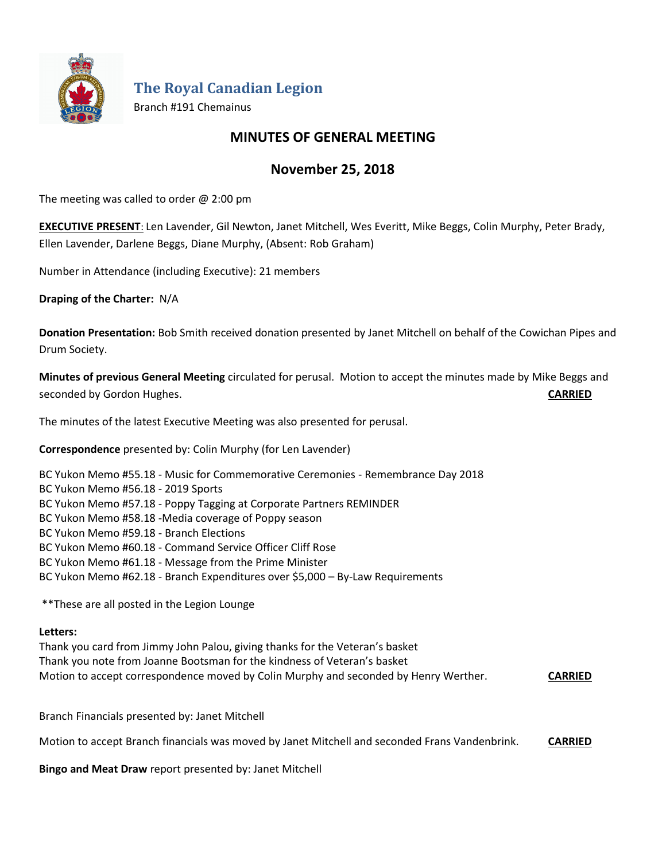

**The Royal Canadian Legion**

Branch #191 Chemainus

# **MINUTES OF GENERAL MEETING**

# **November 25, 2018**

The meeting was called to order  $@$  2:00 pm

**EXECUTIVE PRESENT**: Len Lavender, Gil Newton, Janet Mitchell, Wes Everitt, Mike Beggs, Colin Murphy, Peter Brady, Ellen Lavender, Darlene Beggs, Diane Murphy, (Absent: Rob Graham)

Number in Attendance (including Executive): 21 members

**Draping of the Charter:** N/A

**Donation Presentation:** Bob Smith received donation presented by Janet Mitchell on behalf of the Cowichan Pipes and Drum Society.

**Minutes of previous General Meeting** circulated for perusal. Motion to accept the minutes made by Mike Beggs and seconded by Gordon Hughes. **CARRIED**

The minutes of the latest Executive Meeting was also presented for perusal.

**Correspondence** presented by: Colin Murphy (for Len Lavender)

BC Yukon Memo #55.18 - Music for Commemorative Ceremonies - Remembrance Day 2018 BC Yukon Memo #56.18 - 2019 Sports BC Yukon Memo #57.18 - Poppy Tagging at Corporate Partners REMINDER BC Yukon Memo #58.18 -Media coverage of Poppy season BC Yukon Memo #59.18 - Branch Elections BC Yukon Memo #60.18 - Command Service Officer Cliff Rose BC Yukon Memo #61.18 - Message from the Prime Minister BC Yukon Memo #62.18 - Branch Expenditures over \$5,000 – By-Law Requirements

\*\*These are all posted in the Legion Lounge

## **Letters:**

Thank you card from Jimmy John Palou, giving thanks for the Veteran's basket Thank you note from Joanne Bootsman for the kindness of Veteran's basket Motion to accept correspondence moved by Colin Murphy and seconded by Henry Werther. **CARRIED**

Branch Financials presented by: Janet Mitchell

Motion to accept Branch financials was moved by Janet Mitchell and seconded Frans Vandenbrink. **CARRIED**

**Bingo and Meat Draw** report presented by: Janet Mitchell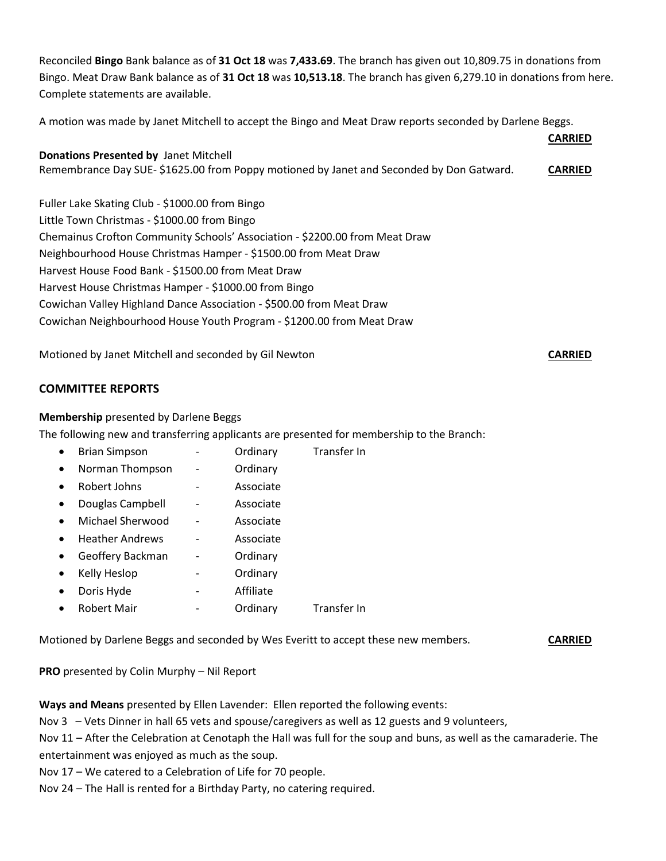Reconciled **Bingo** Bank balance as of **31 Oct 18** was **7,433.69**. The branch has given out 10,809.75 in donations from Bingo. Meat Draw Bank balance as of **31 Oct 18** was **10,513.18**. The branch has given 6,279.10 in donations from here. Complete statements are available.

A motion was made by Janet Mitchell to accept the Bingo and Meat Draw reports seconded by Darlene Beggs.

|                                                                                         | <b>CARRIED</b> |
|-----------------------------------------------------------------------------------------|----------------|
| <b>Donations Presented by Janet Mitchell</b>                                            |                |
| Remembrance Day SUE-\$1625.00 from Poppy motioned by Janet and Seconded by Don Gatward. | <b>CARRIED</b> |
|                                                                                         |                |
| Fuller Lake Skating Club - \$1000.00 from Bingo                                         |                |
| Little Town Christmas - \$1000.00 from Bingo                                            |                |
| Chemainus Crofton Community Schools' Association - \$2200.00 from Meat Draw             |                |
| Neighbourhood House Christmas Hamper - \$1500.00 from Meat Draw                         |                |
| Harvest House Food Bank - \$1500.00 from Meat Draw                                      |                |
| Harvest House Christmas Hamper - \$1000.00 from Bingo                                   |                |
| Cowichan Valley Highland Dance Association - \$500.00 from Meat Draw                    |                |
| Cowichan Neighbourhood House Youth Program - \$1200.00 from Meat Draw                   |                |
|                                                                                         |                |

Motioned by Janet Mitchell and seconded by Gil Newton **CARRIED**

## **COMMITTEE REPORTS**

#### **Membership** presented by Darlene Beggs

The following new and transferring applicants are presented for membership to the Branch:

- Brian Simpson Ordinary Transfer In
- Norman Thompson Ordinary
- Robert Johns Associate
- Douglas Campbell Associate
- Michael Sherwood Associate
- Heather Andrews Associate
- Geoffery Backman Ordinary
- Kelly Heslop **-** Ordinary
- Doris Hyde **-** Affiliate
- Robert Mair **Franch According Contains According Contains Contains Contains Contains Contains Contains Contains**

Motioned by Darlene Beggs and seconded by Wes Everitt to accept these new members. **CARRIED**

**PRO** presented by Colin Murphy – Nil Report

**Ways and Means** presented by Ellen Lavender: Ellen reported the following events:

Nov 3 – Vets Dinner in hall 65 vets and spouse/caregivers as well as 12 guests and 9 volunteers,

Nov 11 – After the Celebration at Cenotaph the Hall was full for the soup and buns, as well as the camaraderie. The entertainment was enjoyed as much as the soup.

Nov 17 – We catered to a Celebration of Life for 70 people.

Nov 24 – The Hall is rented for a Birthday Party, no catering required.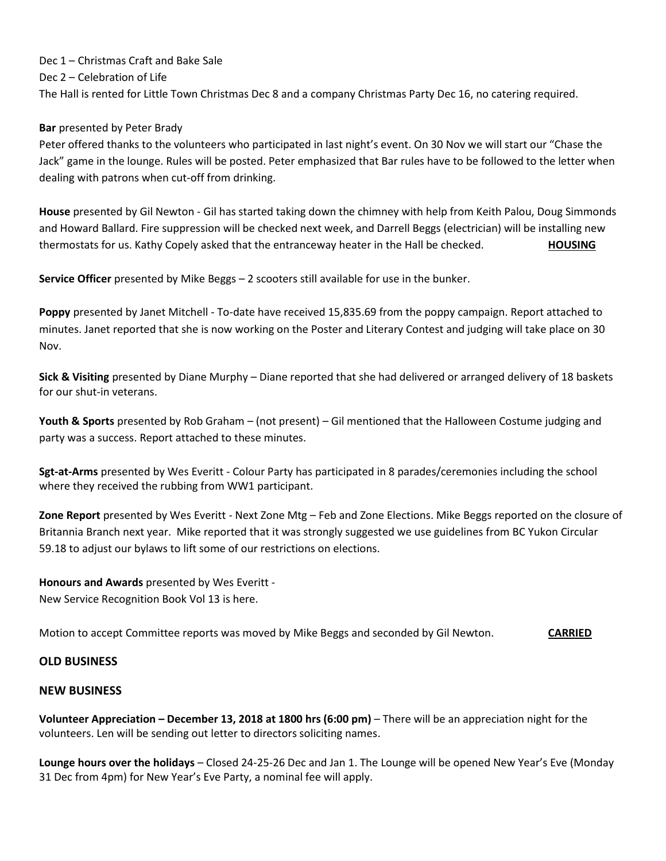Dec 1 – Christmas Craft and Bake Sale Dec 2 – Celebration of Life The Hall is rented for Little Town Christmas Dec 8 and a company Christmas Party Dec 16, no catering required.

## **Bar** presented by Peter Brady

Peter offered thanks to the volunteers who participated in last night's event. On 30 Nov we will start our "Chase the Jack" game in the lounge. Rules will be posted. Peter emphasized that Bar rules have to be followed to the letter when dealing with patrons when cut-off from drinking.

**House** presented by Gil Newton - Gil has started taking down the chimney with help from Keith Palou, Doug Simmonds and Howard Ballard. Fire suppression will be checked next week, and Darrell Beggs (electrician) will be installing new thermostats for us. Kathy Copely asked that the entranceway heater in the Hall be checked. **HOUSING**

**Service Officer** presented by Mike Beggs – 2 scooters still available for use in the bunker.

**Poppy** presented by Janet Mitchell - To-date have received 15,835.69 from the poppy campaign. Report attached to minutes. Janet reported that she is now working on the Poster and Literary Contest and judging will take place on 30 Nov.

**Sick & Visiting** presented by Diane Murphy – Diane reported that she had delivered or arranged delivery of 18 baskets for our shut-in veterans.

**Youth & Sports** presented by Rob Graham – (not present) – Gil mentioned that the Halloween Costume judging and party was a success. Report attached to these minutes.

**Sgt-at-Arms** presented by Wes Everitt - Colour Party has participated in 8 parades/ceremonies including the school where they received the rubbing from WW1 participant.

**Zone Report** presented by Wes Everitt - Next Zone Mtg – Feb and Zone Elections. Mike Beggs reported on the closure of Britannia Branch next year. Mike reported that it was strongly suggested we use guidelines from BC Yukon Circular 59.18 to adjust our bylaws to lift some of our restrictions on elections.

## **Honours and Awards** presented by Wes Everitt -

New Service Recognition Book Vol 13 is here.

Motion to accept Committee reports was moved by Mike Beggs and seconded by Gil Newton. **CARRIED**

## **OLD BUSINESS**

## **NEW BUSINESS**

**Volunteer Appreciation – December 13, 2018 at 1800 hrs (6:00 pm)** – There will be an appreciation night for the volunteers. Len will be sending out letter to directors soliciting names.

**Lounge hours over the holidays** – Closed 24-25-26 Dec and Jan 1. The Lounge will be opened New Year's Eve (Monday 31 Dec from 4pm) for New Year's Eve Party, a nominal fee will apply.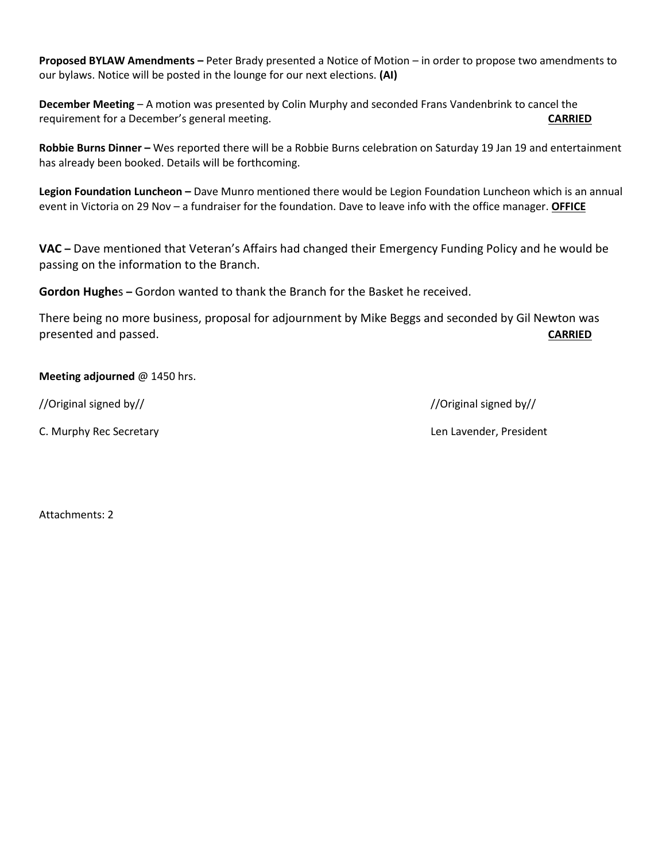**Proposed BYLAW Amendments –** Peter Brady presented a Notice of Motion – in order to propose two amendments to our bylaws. Notice will be posted in the lounge for our next elections. **(AI)**

**December Meeting** – A motion was presented by Colin Murphy and seconded Frans Vandenbrink to cancel the requirement for a December's general meeting. **CARRIED**

**Robbie Burns Dinner –** Wes reported there will be a Robbie Burns celebration on Saturday 19 Jan 19 and entertainment has already been booked. Details will be forthcoming.

**Legion Foundation Luncheon –** Dave Munro mentioned there would be Legion Foundation Luncheon which is an annual event in Victoria on 29 Nov – a fundraiser for the foundation. Dave to leave info with the office manager. **OFFICE**

**VAC –** Dave mentioned that Veteran's Affairs had changed their Emergency Funding Policy and he would be passing on the information to the Branch.

**Gordon Hughe**s **–** Gordon wanted to thank the Branch for the Basket he received.

There being no more business, proposal for adjournment by Mike Beggs and seconded by Gil Newton was presented and passed. **CARRIED**

## **Meeting adjourned** @ 1450 hrs.

C. Murphy Rec Secretary **Len Lavender, President** C. Murphy Rec Secretary

//Original signed by// //Original signed by//

Attachments: 2